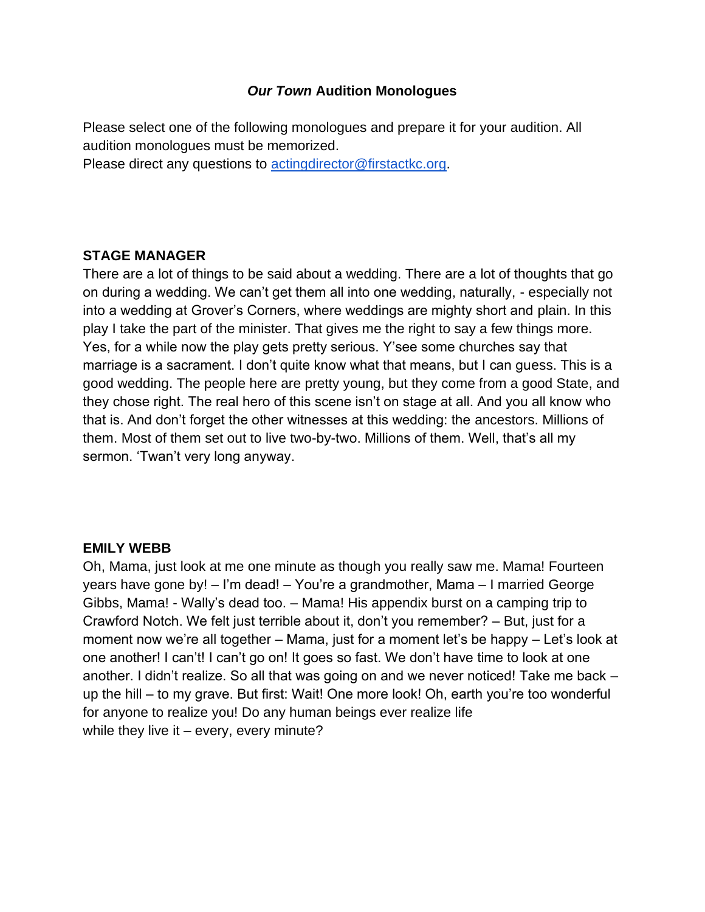# *Our Town* **Audition Monologues**

Please select one of the following monologues and prepare it for your audition. All audition monologues must be memorized.

Please direct any questions to [actingdirector@firstactkc.org.](mailto:actingdirector@firstactkc.org)

# **STAGE MANAGER**

There are a lot of things to be said about a wedding. There are a lot of thoughts that go on during a wedding. We can't get them all into one wedding, naturally, - especially not into a wedding at Grover's Corners, where weddings are mighty short and plain. In this play I take the part of the minister. That gives me the right to say a few things more. Yes, for a while now the play gets pretty serious. Y'see some churches say that marriage is a sacrament. I don't quite know what that means, but I can guess. This is a good wedding. The people here are pretty young, but they come from a good State, and they chose right. The real hero of this scene isn't on stage at all. And you all know who that is. And don't forget the other witnesses at this wedding: the ancestors. Millions of them. Most of them set out to live two-by-two. Millions of them. Well, that's all my sermon. 'Twan't very long anyway.

# **EMILY WEBB**

Oh, Mama, just look at me one minute as though you really saw me. Mama! Fourteen years have gone by! – I'm dead! – You're a grandmother, Mama – I married George Gibbs, Mama! - Wally's dead too. – Mama! His appendix burst on a camping trip to Crawford Notch. We felt just terrible about it, don't you remember? – But, just for a moment now we're all together – Mama, just for a moment let's be happy – Let's look at one another! I can't! I can't go on! It goes so fast. We don't have time to look at one another. I didn't realize. So all that was going on and we never noticed! Take me back – up the hill – to my grave. But first: Wait! One more look! Oh, earth you're too wonderful for anyone to realize you! Do any human beings ever realize life while they live it – every, every minute?